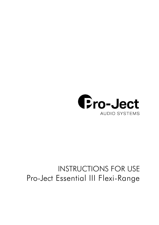

# INSTRUCTIONS FOR USE Pro-Ject Essential III Flexi-Range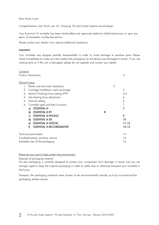Dear Music Lover,

Congratulations and thank you for choosing Pro-Ject Audio Systems record player.

Your Essential III turntable has been handcrafted and rigorously tested by skilled technicians to give you years of enjoyable, trouble free service.

Please contact your dealer if you require additional assistance.

#### Important:

Your turntable was shipped partially disassembled in order to avoid damage to sensitive parts. Please check immediately to make sure that neither the packaging nor the device was damaged in transit. If you are missing parts or if the unit is damaged, please do not operate and contact your dealer.

| Contents                                            |   |           |
|-----------------------------------------------------|---|-----------|
| Product illustrations                               |   | 4         |
|                                                     |   |           |
| General setup                                       |   |           |
| Platter and drive belt installation<br>$\mathbf{1}$ | 5 |           |
| 2.<br>Cartridge installation, stylus exchange       |   | 5         |
| 3.<br>Vertical Tracking Force setting (VTF)         |   | $5 - 6$   |
| Anti-skating force adjustment<br>4.                 |   | 6         |
| 5.<br>Azimuth setting                               |   | 6         |
| Turntable types and their functions<br>6.           |   | 7         |
| <b>ESSENTIAL III</b><br>a)                          |   | 7         |
| <b>ESSENTIAL III BT</b><br>b)                       | 8 |           |
| <b>ESSENTIAL III PHONO</b><br>c)                    |   | 9         |
| <b>ESSENTIAL III SB</b><br>d)                       |   | 10        |
| <b>ESSENTIAL III DIGITAL</b><br>e)                  |   | 11-12     |
| <b>ESSENTIAL III RECORDMASTER</b><br>Ð              |   | $12 - 13$ |
|                                                     |   |           |
| Technical parameters                                |   | 14        |
| Troubleshooting, warranty, service                  |   | 15        |
| Exploded view of the packaging                      |   | 16        |
|                                                     |   |           |

Please do your part to help protect the environment:

Disposal of packaging material:

Pro-Ject packaging is carefully designed to protect your component from damage in transit and you are strongly urged to keep the original packaging in order to safely ship or otherwise transport your turntable in the future.

However, the packaging materials were chosen to be environmentally friendly, so if you must discard the packaging, please recycle.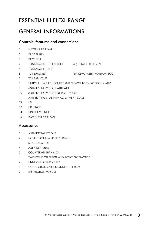## ESSENTIAL III FLEXI-RANGE

## GENERAL INFORMATIONS

### Controls, features and connections

- 1 PLATTER & FELT MAT
- 2 DRIVE PULLEY
- 3 DRIVE BELT
- 4 TONEARM COUNTERWEIGHT (4a) DOWNFORCE SCALE
- 5 TONEARM LIFT LEVER
- 6 TONEARM REST (66) REMOVABLE TRANSPORT LOCK
- 7 TONEARM TUBE
- 8 HEADSHELL WITH FINGER LIFT AND PRE-MOUNTED ORTOFON OM10
- 9 ANTI-SKATING WEIGHT WITH WIRE
- 10 ANTI-SKATING WEIGHT SUPPORT HOOP
- 11 ANTI-SKATING STUB WITH ADJUSTMENT SCALE
- 12 LID
- 13 LID HINGES
- 14 HINGE FASTENERS
- 15 POWER SUPPLY SOCKET

### Accessories

- 1 ANTI-SKATING WEIGHT
- 2 HOOK TOOL FOR SPEED CHANGE
- 3 SINGLE ADAPTOR
- 4 ALLEN KEY 1,5mm
- 5 COUNTERWEIGHT no. 00
- 6 TWO-POINT CARTRIDGE ALIGNMENT PROTRACTOR
- 7 UNIVERSAL POWER SUPPLY
- 8 CONNECTION CABLE (CONNECT IT E RCA)
- 9 INSTRUCTION FOR USE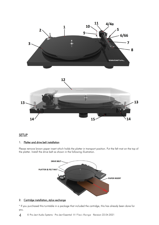

#### **SETUP**

#### 1. Platter and drive belt installation

Please remove brown paper insert which holds the platter in transport position. Put the felt mat on the top of the platter. Install the drive belt as shown in the following illustration.



#### 2. Cartridge installation, stylus exchange

\* If you purchased this turntable in a package that included the cartridge, this has already been done for you.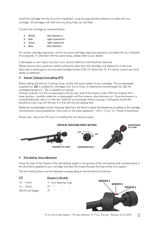Install the cartridge into the aluminium headshell, using the appropriate hardware included with your cartridge. All cartridges with half inch mounting holes can be fitted.

Connect the cartridge as indicated below:

- White left channel L+
- Red right channel R+
- Green right channel R-
- Blue left channel L-

For correct cartridge alignment, use the two-point cartridge alignment protractor provided with your Essential III accessories. If unfamiliar with two-point setup, please refer to your dealer.

A damaged or worn stylus may harm your record collection and should be replaced.

Please remove stylus protection before pulling the stylus from the cartridge and replace for a new one. Stylus type is exchange for pre-mounted cartridge Ortofon OM 10: Stylus OM 10. If in doubt, consult your local dealer or distributor.

#### 3. Vertical Tracking Force setting (VTF)

Before setting the Vertical Tracking Force, confirm the exact weight of your cartridge. The counterweight supplied (no. 00) is suitable for cartridges from 3,5 to 5,5g. An alternative counterweight (no. 01) for cartridges between 6 – 9g is available on request.

Pushing carefully, turn the counterweight onto the rear end of the tonearm tube. With the tonearm lift in lower position, carefully rotate the counterweight until the tonearm tube balances out. Once the tonearm is correctly balanced, return it to the rest. Hold the counterweight without moving it, and gently revolve the downforce scale ring until the zero is in line with the anti-skating stub.

Rotate the counterweight counter clockwise (seen from the front) to adjust the downforce according to the cartridge manufacturer's recommendations. One mark on the scale represents  $1 \text{ mN} (= 0.1g / 0.1 \text{ Pond})$  of downforce.

*Please note: Adjust the VTF prior to installing the anti-skating weight.*



#### 4. Anti-skating force adjustment

Hang the loop of the thread of the anti-skating weight in the groove of the anti-skating stub corresponding to the downforce applied to your cartridge and feed the thread through the loop of the wire support.

The anti-skating force must be adjusted corresponding to the downforce as follows:

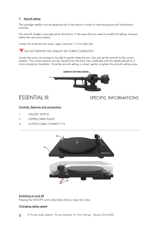#### 5. Azimuth setting

The cartridge needle must be perpendicular to the record in order to trace the groove wall modulations correctly.

The azimuth (angle) is precisely set by the factory. In the event that you need to modify this setting, however, follow the instructions below.

Loosen the small azimuth screw, again using the 1.5 mm allen key.

**V** DO NOT REMOVE THE AZIMUTH SET SCREW COMPLETELY!

Loosen the screw just enough to be able to gently rotate the arm tube and set the azimuth to the correct position. The correct position can be checked from the front view, preferably with the needle placed on a mirror placed on the platter. Once the azimuth setting is correct, gently re-tighten the azimuth setting screw.



### ESSENTIAL III SPECIFIC INFORMATIONS

#### Controls, features and connections

- 1 ON/OFF SWITCH
- 2 STEPPED DRIVE PULLEY
- 3 OUTPUT CABLE CONNECT IT E



#### Switching on and off

Pressing the ON/OFF switch alternately starts or stops the motor.

#### Changing replay speed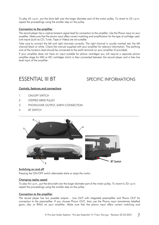To play 45 r.p.m., put the drive belt over the larger diameter part of the motor pulley. To revert to 33 r.p.m. repeat the proceedings using the smaller step on the pulley.

#### Connection to the amplifier

The record player has a captive tonearm signal lead for connection to the amplifier. Use the Phono input on your amplifier. Make sure that the phono input offers correct matching and amplification for the type of cartridge used. Line inputs (such as CD, Tuner, Tape or Video) are not suitable.

Take care to connect the left and right channels correctly. The right channel is usually marked red, the left channel black or white. Check the manual supplied with your amplifier for relevant information. The earthing wire of the tonearm lead should be connected to the earth terminal on your amplifier (if provided).

If your amplifier does not have an input suitable for phono cartridges you will require a separate phono amplifier stage for MM or MC cartridges which is then connected between the record player and a free line level input of the amplifier.

## ESSENTIAL III BT SPECIFIC INFORMATIONS

#### Controls, features and connections

- 1 ON/OFF SWITCH
- 2 STEPPED DRIVE PULLEY
- 3 PHONO/LINE OUTPUT, EARTH CONNECTION
- 4 BT SWITCH



#### Switching on and off

Pressing the ON/OFF switch alternately starts or stops the motor.

#### Changing replay speed

To play 45 r.p.m., put the drive belt over the larger diameter part of the motor pulley. To revert to 33 r.p.m. repeat the proceedings using the smaller step on the pulley.

#### Connection to the amplifier

The record player has two possible outputs – Line OUT with integrated preamplifier and Phono OUT for connection to the preamplifier. If you choose Phono OUT, than use the Phono input (sometimes labelled gram, disc or RIAA) on your amplifier. Make sure that the phono input offers correct matching and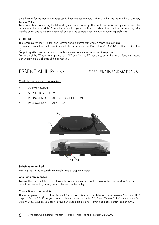amplification for the type of cartridge used. If you choose Line OUT, than use the Line inputs (like CD, Tuner, Tape or Video).

Take care about connecting the left and right channel correctly. The right channel is usually marked red, the left channel black or white. Check the manual of your amplifier for relevant information. An earthing wire may be connected to the screw terminal between the sockets if you encounter humming problems.

#### BT pairing

The record player has BT output and transmit signal automatically when is connected to mains.

It is paired automatically with any device with BT receiver (such as Pro-Ject MaiA, MaiA DS, BT Box s and BT Box E).

For pairing with other devices and portable speakers use the manual of the given product.

For restart of the BT transmitter, please turn OFF and ON the BT module by using the switch. Restart is needed only when there is a change of the BT receiver.

## ESSENTIAL III Phono SPECIFIC INFORMATIONS

#### Controls, features and connections

- 1 ON/OFF SWITCH
- 2 STEPPED DRIVE PULLEY
- 3 PHONO/LINE OUTPUT, EARTH CONNECTION
- 4 PHONO/LINE OUTPUT SWITCH



#### Switching on and off

Pressing the ON/OFF switch alternately starts or stops the motor.

#### Changing replay speed

To play 45 r.p.m., put the drive belt over the larger diameter part of the motor pulley. To revert to 33 r.p.m. repeat the proceedings using the smaller step on the pulley.

#### Connection to the amplifier

The record player has gold plated female RCA phono sockets and possibility to choose between Phono and LINE output. With LINE OUT on, you can use a line input (such as AUX, CD, Tuner, Tape or Video) on your amplifier. With PHONO OUT on, you can use your own phono pre-amplifier (sometimes labelled gram, disc or RIAA).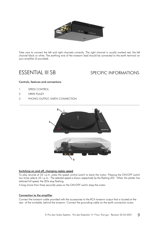

Take care to connect the left and right channels correctly. The right channel is usually marked red, the left channel black or white. The earthing wire of the tonearm lead should be connected to the earth terminal on your amplifier (if provided).

### ESSENTIAL III SB SPECIFIC INFORMATIONS

#### Controls, features and connections

- 1 SPEED CONTROL
- 2 DRIVE PULLEY
- 3 PHONO OUTPUT, EARTH CONNECTION



#### Switching on and off, changing replay speed

To play records at 33 r.p.m. press the speed control switch to starts the motor. Pressing the ON/OFF switch two times selects 45 r.p.m.. The selected speed is shown respectively by the flashing LED. When the platter has attained full speed, the LEDs stop flashing.

A long (more than three seconds) press on the ON/OFF switch stops the motor.

#### Connection to the amplifier

Connect the tonearm cable provided with the accessories to the RCA tonearm output that is located at the rear of the turntable, behind the tonearm. Connect the grounding cable on the earth connection screw.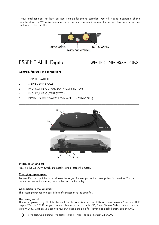If your amplifier does not have an input suitable for phono cartridges you will require a separate phono amplifier stage for MM or MC cartridges which is then connected between the record player and a free line level input of the amplifier.



### ESSENTIAL III Digital SPECIFIC INFORMATIONS

#### Controls, features and connections

- 1 ON/OFF SWITCH
- 2 STEPPED DRIVE PULLEY
- 3 PHONO/LINE OUTPUT, EARTH CONNECTION
- 4 PHONO/LINE OUTPUT SWITCH
- 5 DIGITAL OUTPUT SWITCH (24bit/48kHz or 24bit/96kHz)



#### Switching on and off

Pressing the ON/OFF switch alternately starts or stops the motor.

#### Changing replay speed

To play 45 r.p.m., put the drive belt over the larger diameter part of the motor pulley. To revert to 33 r.p.m. repeat the proceedings using the smaller step on the pulley.

#### Connection to the amplifier

The record player has two possibilities of connection to the amplifier.

#### The analog output:

The record player has gold plated female RCA phono sockets and possibility to choose between Phono and LINE output. With LINE OUT on, you can use a line input (such as AUX, CD, Tuner, Tape or Video) on your amplifier. With PHONO OUT on, you can use your own phono pre-amplifier (sometimes labelled gram, disc or RIAA).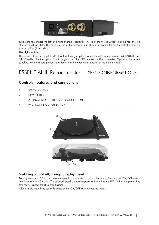

Take care to connect the left and right channels correctly. The right channel is usually marked red, the left channel black or white. The earthing wire of the tonearm lead should be connected to the earth terminal on your amplifier (if provided).

#### The digital output:

The record player has digital S/PDIF output through optical connector with switch between 24bit/48kHz and 24bit/96kHz. Use the optical input on your amplifier, AV receiver or D/A converter. Optical cable is not supplied with the record player. Your dealer can help you with selection of the optical cable.

## ESSENTIAL III Recordmaster SPECIFIC INFORMATIONS

### Controls, features and connections

- 1 SPEED CONTROL
- 2 DRIVE PULLEY
- 3 PHONO/LINE OUTPUT, EARTH CONNECTION
- 4 PHONO/LINE OUTPUT SWITCH



#### Switching on and off, changing replay speed

To play records at 33 r.p.m. press the speed control switch to starts the motor. Pressing the ON/OFF switch two times selects 45 r.p.m.. The selected speed is shown respectively by the flashing LED. When the platter has attained full speed, the LEDs stop flashing.

A long (more than three seconds) press on the ON/OFF switch stops the motor.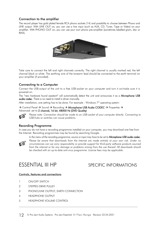#### Connection to the amplifier

The record player has gold plated female RCA phono sockets (14) and possibility to choose between Phono and LINE output. With LINE OUT on, you can use a line input (such as AUX, CD, Tuner, Tape or Video) on your amplifier. With PHONO OUT on, you can use your own phono pre-amplifier (sometimes labelled gram, disc or RIAA).



Take care to connect the left and right channels correctly. The right channel is usually marked red, the left channel black or white. The earthing wire of the tonearm lead should be connected to the earth terminal on your amplifier (if provided).

### Connecting to a Computer

Connect the USB-output of the unit to a free USB-socket on your computer and turn it on/make sure it is powered on.

The "new hardware found assistant" will automatically detect the unit and announces it as a Microphone USB audio codec. There is no need to install a driver manually.

After installation, one setting has to be done. For example - Windows 7® operating system:

→ Control Panel → Sound → Recording → Microphone USB Audio CODEC → Properties → Advanced: set to 2 channel, 16 bit, 48000 Hz (DVD Quality)



*Please note: Connection should be made to an USB-socket of your computer directly. Connecting to USB-hubs or switches can cause problems.*

#### Recording Programme

In case you do not have a recording programme installed on your computer, you may download one free from the Internet. Recording programmes may be found by searching Google.

*In the menu of the recording programme, source or input may have to be set to* Microphone USB audio codec.



Please be aware that downloads from the Internet are made entirely at your own risk. Under no *circumstances can we carry responsibility or provide support for third-party software products sourced from the internet or for any damage or problems arising from the use thereof. All downloads should be checked with an up-to-date anti-virus programme. License fees may be applicable.*

### ESSENTIAL III HP SPECIFIC INFORMATIONS

#### Controls, features and connections

- 1 ON/OFF SWITCH
- 2 STEPPED DRIVE PULLEY
- 3 PHONO/LINE OUTPUT, EARTH CONNECTION
- 4 HEADPHONE OUTPUT
- 5 HEADPHONE VOLUME CONTROL

 $\mathcal{L}_\text{max}$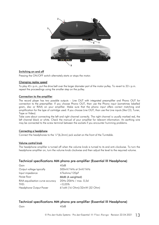

#### Switching on and off

Pressing the ON/OFF switch alternately starts or stops the motor.

#### Changing replay speed

To play 45 r.p.m., put the drive belt over the larger diameter part of the motor pulley. To revert to 33 r.p.m. repeat the proceedings using the smaller step on the pulley.

#### Connection to the amplifier

The record player has two possible outputs – Line OUT with integrated preamplifier and Phono OUT for connection to the preamplifier. If you choose Phono OUT, than use the Phono input (sometimes labelled gram, disc or RIAA) on your amplifier. Make sure that the phono input offers correct matching and amplification for the type of cartridge used. If you choose Line OUT, than use the Line inputs (like CD, Tuner, Tape or Video).

Take care about connecting the left and right channel correctly. The right channel is usually marked red, the left channel black or white. Check the manual of your amplifier for relevant information. An earthing wire may be connected to the screw terminal between the sockets if you encounter humming problems.

#### Connecting a headphone

Connect the headphones to the 1/4"(6,3mm) jack socket on the front of the Turntable.

#### Volume control knob

The headphone amplifier is turned off when the volume knob is turned to its end anti-clockwise. To turn the headphone amplifier on, turn the volume knob clockwise and then adjust the level to the required volume.

#### Technical specifications MM phono pre-amplifier (Essential III Headphone)

| Gain                             | 40dB                        |
|----------------------------------|-----------------------------|
| Output voltage typically         | 500mV/1kHz at 5mV/1kHz      |
| Input impedance                  | 47kohms/120pF               |
| Noise floor                      | 88dB (A weighted)           |
| RIAA-equalisation curve accuracy | 20Hz-20kHz / max. 0,5d      |
| THD:                             | $<0.05\%$                   |
| Headphone Output Power           | 61wM (16 Ohm)/32mW (32 Ohm) |

### Technical specifications MM phono pre-amplifier (Essential III Headphone)

Gain 40dB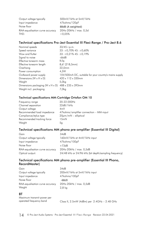| Output voltage typically         | 500mV/1kHz at 5mV/1kHz |
|----------------------------------|------------------------|
| Input impedance                  | 47kohms/120pF          |
| Noise floor                      | 88dB (A weighted)      |
| RIAA-equalisation curve accuracy | 20Hz-20kHz / max. 0,5d |
| THD:                             | ${<}0.05%$             |

#### Technical specifications Pro-Ject Essential III Flexi-Range / Pro-Ject 8.6

| Nominal speeds                                     | 33/45 r.p.m.                                           |
|----------------------------------------------------|--------------------------------------------------------|
| Speed variance                                     | $33: \pm 0,70\%$ 45: $\pm 0,60\%$                      |
| Wow and flutter                                    | $33: \pm 0.21\% 45: \pm 0.19\%$                        |
| Signal to noise                                    | -66dB                                                  |
| Effective tonearm mass                             | 8,0q                                                   |
| Effective tonearm length                           | 8,6" (218,5mm)                                         |
| Overhang                                           | 22,0mm                                                 |
| Power consumption                                  | 4.5W                                                   |
| Outboard power supply                              | 15V/500mA DC, suitable for your country's mains supply |
| Dimensions $(W \times H \times D)$                 | 420 x 112 x 330mm                                      |
| Weight                                             | 5,0kg                                                  |
| Dimensions packaging (W x H x D) 488 x 235 x 393mm |                                                        |
| Weight incl. packaging                             | 7,0kg                                                  |
|                                                    |                                                        |

#### Technical specifications MM-Cartridge Ortofon OM 10

| Frequency range            | 20-22.000Hz                             |
|----------------------------|-----------------------------------------|
| Channel separation         | 22dB/1kHz                               |
| Output voltage             | 4mV                                     |
| Recommended load impedance | 47kohms/amplifier connection – MM-input |
| Compliance/stylus type     | $20\mu m/mN$ – elliptical               |
| Recommended tracking force | 15mN                                    |
| Weight                     | 5q                                      |

### Technical specifications MM phono pre-amplifier (Essential III Digital)

| Gain                             | 34dB                                                  |
|----------------------------------|-------------------------------------------------------|
| Output voltage typically         | 160mV/1kHz at 4mV/1kHz input                          |
| Input impedance                  | 47kohms/100pF                                         |
| Noise floor                      | $>73$ dB                                              |
| RIAA-equalisation curve accuracy | 20Hz-20kHz / max. 0,5dB                               |
| Optical output:                  | 24/48 kHz or 24/96 kHz (bit depth/sampling frequency) |

### Technical specifications MM phono pre-amplifier (Essential III Phono, RecordMaster)

| Gain                             | 34dB                         |
|----------------------------------|------------------------------|
| Output voltage typically         | 200mV/1kHz at 5mV/1kHz input |
| Input impedance                  | 47kohms/100pF                |
| Noise floor                      | -68dB                        |
| RIAA-equalisation curve accuracy | 20Hz-20kHz / max. 0,5dB      |
| Weight                           | $2,8$ kg                     |
|                                  |                              |

#### **BT**

| Maximum transmit power per |                                              |  |
|----------------------------|----------------------------------------------|--|
| operated frequency band    | Class II, 2.5mW (4dBm) per 2.4GHz - 2.48 GHz |  |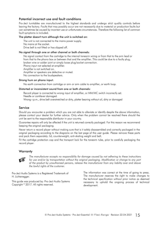#### Potential incorrect use and fault conditions

Pro-Ject turntables are manufactured to the highest standards and undergo strict quality controls before leaving the factory. Faults that may possibly occur are not necessarily due to material or production faults but can sometimes be caused by incorrect use or unfortunate circumstances. Therefore the following list of common fault symptoms is included.

#### The platter doesn't turn although the unit is switched on:

The unit is not connected to the mains power supply. No mains at the socket. Drive belt is not fitted or has slipped off.

#### No signal through one or other channel or both channels:

No signal contact from the cartridge to the internal tonearm wiring or from that to the arm lead or from that to the phono box or between that and the amplifier. This could be due to a faulty plug, broken wire or solder joint or simply loose plug/socket connection.

Phono input not selected at amplifier.

Amplifier is not switched on.

Amplifier or speakers are defective or muted.

No connection to the loudspeakers.

#### Strong hum on phono input:

No earth connection from cartridge or arm or arm cable to amplifier, or earth loop.

#### Distorted or inconsistent sound from one or both channels:

Record player is connected to wrong input of amplifier, or MM/MC switch incorrectly set. Needle or cantilever damaged.

Wrong r.p.m., drive belt overstretched or dirty, platter bearing without oil, dirty or damaged

#### Service

Should you encounter a problem which you are not able to alleviate or identify despite the above information, please contact your dealer for further advice. Only when the problem cannot be resolved there should the unit be sent to the responsible distributor in your country.

Guarantee repairs will only be affected if the unit is returned correctly packaged. For this reason we recommend keeping the original packaging.

Never return a record player without making sure that is it safely disassembled and correctly packaged in the original packaging according to the diagrams on the last page of this user guide. Please remove these parts and pack them separately: lid, counterweight, anti-skating weight and belt.

Fit the cartridge protection cap and the transport lock for the tonearm tube, prior to carefully packaging the record player.

#### **Warranty**



*The manufacturer accepts no responsibility for damage caused by not adhering to these instructions for use and/or by transportation without the original packaging. Modification or change to any part of the product by unauthorized persons, release the manufacturer from any liability over and above the lawful rights of the customer.*

Pro-Ject Audio Systems is a Registered Trademark of H. Lichtenegger.

This guide was produced by: Pro-Ject Audio Systems Copyright © 2017. All rights reserved.

The information was correct at the time of going to press. The manufacturer reserves the right to make changes to the technical specification without prior notice as deemed necessary to uphold the ongoing process of technical development.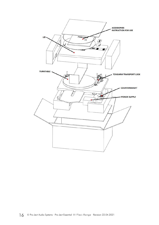